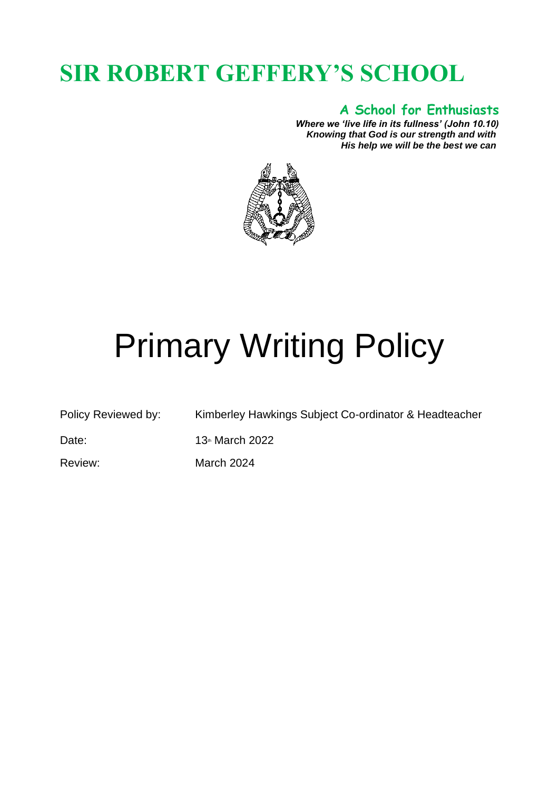## **SIR ROBERT GEFFERY'S SCHOOL**

## **A School for Enthusiasts**

*Where we 'live life in its fullness' (John 10.10) Knowing that God is our strength and with His help we will be the best we can*



# Primary Writing Policy

Policy Reviewed by: Kimberley Hawkings Subject Co-ordinator & Headteacher

Date: 13th March 2022

Review: March 2024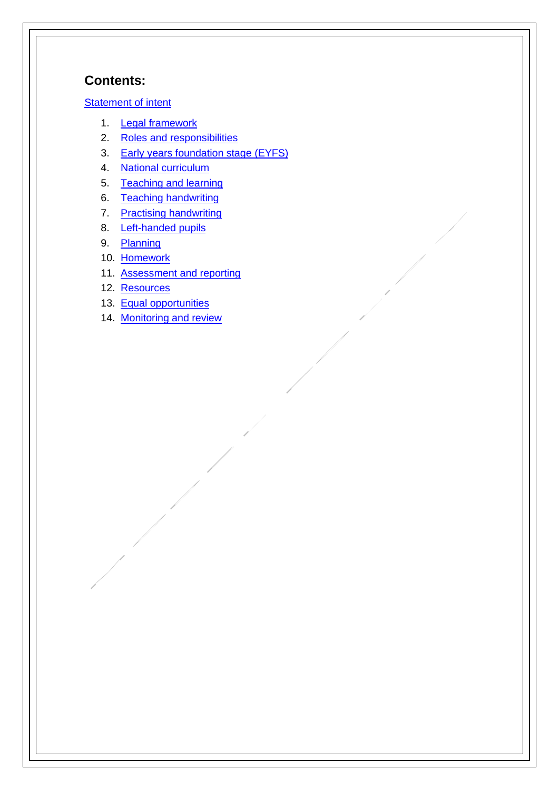## **Contents:**

[Statement of intent](#page-3-0)

- 1. [Legal framework](#page-4-0)
- 2. [Roles and responsibilities](#page-4-1)
- 3. [Early years foundation stage](#page-5-0) (EYFS)
- 4. [National curriculum](#page-5-1)
- 5. [Teaching and learning](#page-12-0)
- 6. [Teaching handwriting](#page-13-0)
- 7. [Practising handwriting](#page-13-1)
- 8. [Left-handed pupils](#page-13-2)
- 9. [Planning](#page-14-0)
- 10. [Homework](#page-15-0)
- 11. [Assessment and reporting](#page-15-0)
- 12. [Resources](#page-17-0)
- 13. [Equal opportunities](#page-17-1)
- 14. [Monitoring and review](#page-17-2)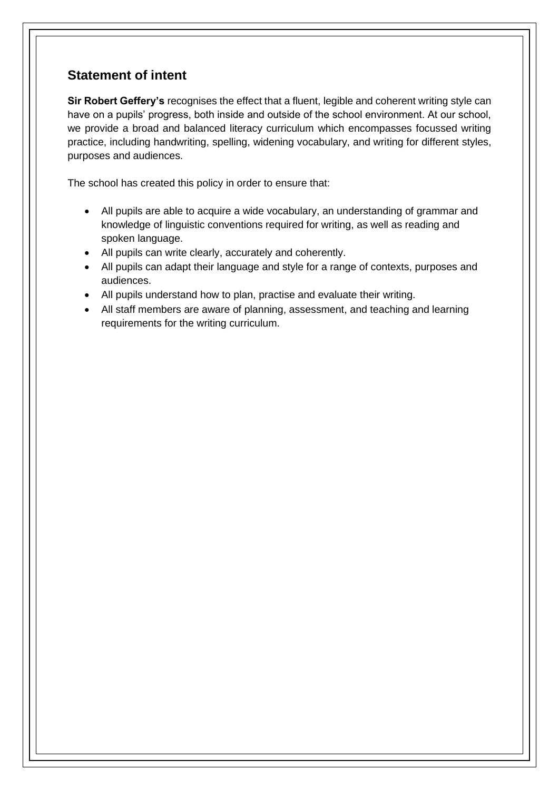## <span id="page-3-0"></span>**Statement of intent**

**Sir Robert Geffery's** recognises the effect that a fluent, legible and coherent writing style can have on a pupils' progress, both inside and outside of the school environment. At our school, we provide a broad and balanced literacy curriculum which encompasses focussed writing practice, including handwriting, spelling, widening vocabulary, and writing for different styles, purposes and audiences.

The school has created this policy in order to ensure that:

- All pupils are able to acquire a wide vocabulary, an understanding of grammar and knowledge of linguistic conventions required for writing, as well as reading and spoken language.
- All pupils can write clearly, accurately and coherently.
- All pupils can adapt their language and style for a range of contexts, purposes and audiences.
- All pupils understand how to plan, practise and evaluate their writing.
- All staff members are aware of planning, assessment, and teaching and learning requirements for the writing curriculum.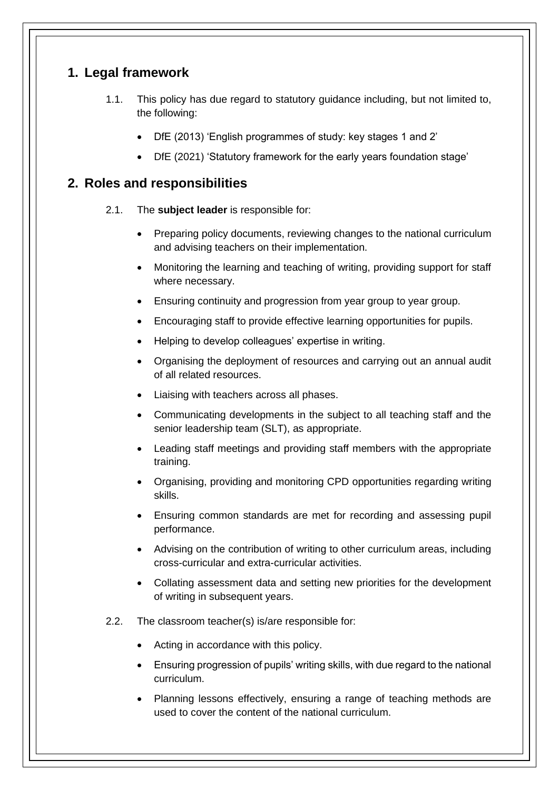## <span id="page-4-0"></span>**1. Legal framework**

- 1.1. This policy has due regard to statutory guidance including, but not limited to, the following:
	- DfE (2013) 'English programmes of study: key stages 1 and 2'
	- DfE (2021) 'Statutory framework for the early years foundation stage'

## <span id="page-4-1"></span>**2. Roles and responsibilities**

- 2.1. The **subject leader** is responsible for:
	- Preparing policy documents, reviewing changes to the national curriculum and advising teachers on their implementation.
	- Monitoring the learning and teaching of writing, providing support for staff where necessary.
	- Ensuring continuity and progression from year group to year group.
	- Encouraging staff to provide effective learning opportunities for pupils.
	- Helping to develop colleagues' expertise in writing.
	- Organising the deployment of resources and carrying out an annual audit of all related resources.
	- Liaising with teachers across all phases.
	- Communicating developments in the subject to all teaching staff and the senior leadership team (SLT), as appropriate.
	- Leading staff meetings and providing staff members with the appropriate training.
	- Organising, providing and monitoring CPD opportunities regarding writing skills.
	- Ensuring common standards are met for recording and assessing pupil performance.
	- Advising on the contribution of writing to other curriculum areas, including cross-curricular and extra-curricular activities.
	- Collating assessment data and setting new priorities for the development of writing in subsequent years.
- 2.2. The classroom teacher(s) is/are responsible for:
	- Acting in accordance with this policy.
	- Ensuring progression of pupils' writing skills, with due regard to the national curriculum.
	- Planning lessons effectively, ensuring a range of teaching methods are used to cover the content of the national curriculum.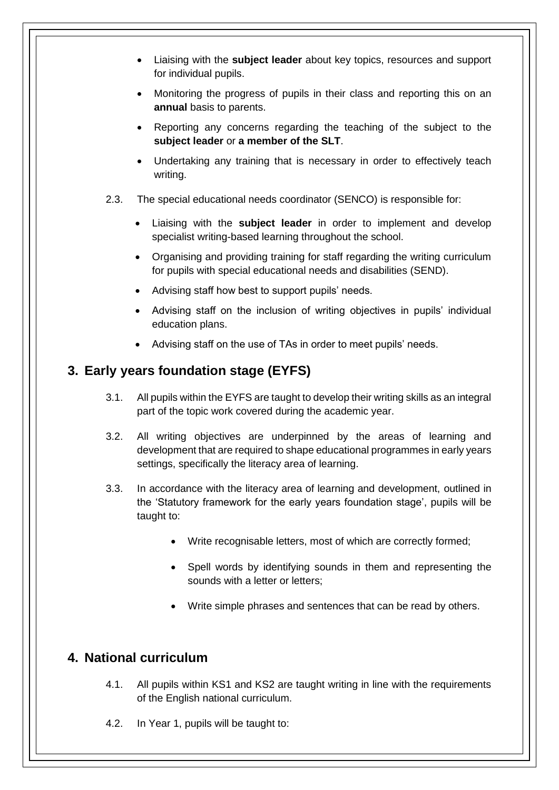- Liaising with the **subject leader** about key topics, resources and support for individual pupils.
- Monitoring the progress of pupils in their class and reporting this on an **annual** basis to parents.
- Reporting any concerns regarding the teaching of the subject to the **subject leader** or **a member of the SLT**.
- Undertaking any training that is necessary in order to effectively teach writing.
- 2.3. The special educational needs coordinator (SENCO) is responsible for:
	- Liaising with the **subject leader** in order to implement and develop specialist writing-based learning throughout the school.
	- Organising and providing training for staff regarding the writing curriculum for pupils with special educational needs and disabilities (SEND).
	- Advising staff how best to support pupils' needs.
	- Advising staff on the inclusion of writing objectives in pupils' individual education plans.
	- Advising staff on the use of TAs in order to meet pupils' needs.

## <span id="page-5-0"></span>**3. Early years foundation stage (EYFS)**

- 3.1. All pupils within the EYFS are taught to develop their writing skills as an integral part of the topic work covered during the academic year.
- 3.2. All writing objectives are underpinned by the areas of learning and development that are required to shape educational programmes in early years settings, specifically the literacy area of learning.
- 3.3. In accordance with the literacy area of learning and development, outlined in the 'Statutory framework for the early years foundation stage', pupils will be taught to:
	- Write recognisable letters, most of which are correctly formed;
	- Spell words by identifying sounds in them and representing the sounds with a letter or letters;
	- Write simple phrases and sentences that can be read by others.

## <span id="page-5-1"></span>**4. National curriculum**

- 4.1. All pupils within KS1 and KS2 are taught writing in line with the requirements of the English national curriculum.
- 4.2. In Year 1, pupils will be taught to: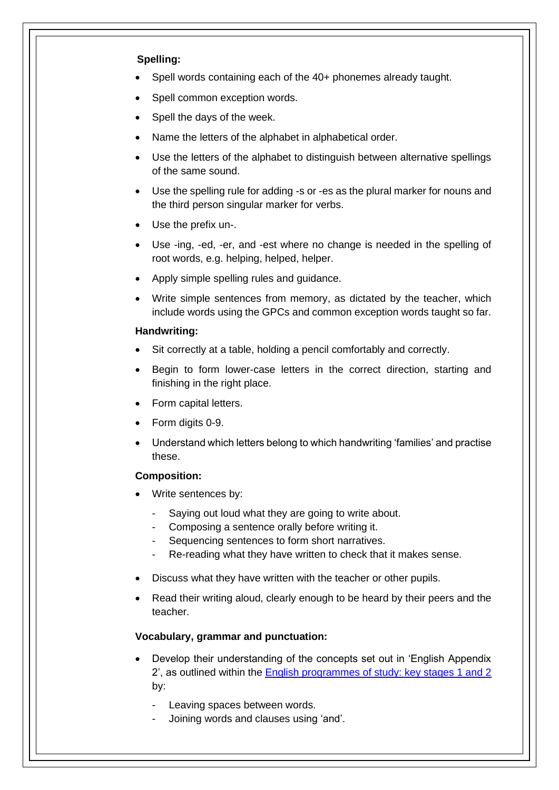#### **Spelling:**

- Spell words containing each of the 40+ phonemes already taught.
- Spell common exception words.
- Spell the days of the week.
- Name the letters of the alphabet in alphabetical order.
- Use the letters of the alphabet to distinguish between alternative spellings of the same sound.
- Use the spelling rule for adding -s or -es as the plural marker for nouns and the third person singular marker for verbs.
- Use the prefix un-.
- Use -ing, -ed, -er, and -est where no change is needed in the spelling of root words, e.g. helping, helped, helper.
- Apply simple spelling rules and guidance.
- Write simple sentences from memory, as dictated by the teacher, which include words using the GPCs and common exception words taught so far.

#### **Handwriting:**

- Sit correctly at a table, holding a pencil comfortably and correctly.
- Begin to form lower-case letters in the correct direction, starting and finishing in the right place.
- Form capital letters.
- Form digits 0-9.
- Understand which letters belong to which handwriting 'families' and practise these.

#### **Composition:**

- Write sentences by:
	- Saying out loud what they are going to write about.
	- Composing a sentence orally before writing it.
	- Sequencing sentences to form short narratives.
	- Re-reading what they have written to check that it makes sense.
- Discuss what they have written with the teacher or other pupils.
- Read their writing aloud, clearly enough to be heard by their peers and the teacher.

#### **Vocabulary, grammar and punctuation:**

- Develop their understanding of the concepts set out in 'English Appendix 2', as outlined within the [English programmes of study: key stages 1 and 2](https://www.gov.uk/government/uploads/system/uploads/attachment_data/file/335186/PRIMARY_national_curriculum_-_English_220714.pdf) by:
	- Leaving spaces between words.
	- Joining words and clauses using 'and'.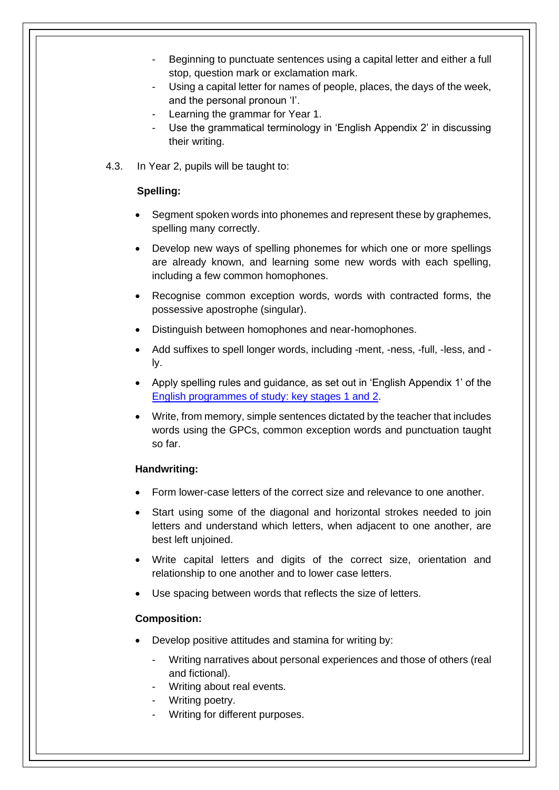- Beginning to punctuate sentences using a capital letter and either a full stop, question mark or exclamation mark.
- Using a capital letter for names of people, places, the days of the week, and the personal pronoun 'I'.
- Learning the grammar for Year 1.
- Use the grammatical terminology in 'English Appendix 2' in discussing their writing.
- 4.3. In Year 2, pupils will be taught to:

#### **Spelling:**

- Segment spoken words into phonemes and represent these by graphemes, spelling many correctly.
- Develop new ways of spelling phonemes for which one or more spellings are already known, and learning some new words with each spelling, including a few common homophones.
- Recognise common exception words, words with contracted forms, the possessive apostrophe (singular).
- Distinguish between homophones and near-homophones.
- Add suffixes to spell longer words, including -ment, -ness, -full, -less, and ly.
- Apply spelling rules and guidance, as set out in 'English Appendix 1' of the [English programmes of study: key stages 1 and 2.](https://www.gov.uk/government/uploads/system/uploads/attachment_data/file/335186/PRIMARY_national_curriculum_-_English_220714.pdf)
- Write, from memory, simple sentences dictated by the teacher that includes words using the GPCs, common exception words and punctuation taught so far.

#### **Handwriting:**

- Form lower-case letters of the correct size and relevance to one another.
- Start using some of the diagonal and horizontal strokes needed to join letters and understand which letters, when adjacent to one another, are best left unjoined.
- Write capital letters and digits of the correct size, orientation and relationship to one another and to lower case letters.
- Use spacing between words that reflects the size of letters.

#### **Composition:**

- Develop positive attitudes and stamina for writing by:
	- Writing narratives about personal experiences and those of others (real and fictional).
	- Writing about real events.
	- Writing poetry.
	- Writing for different purposes.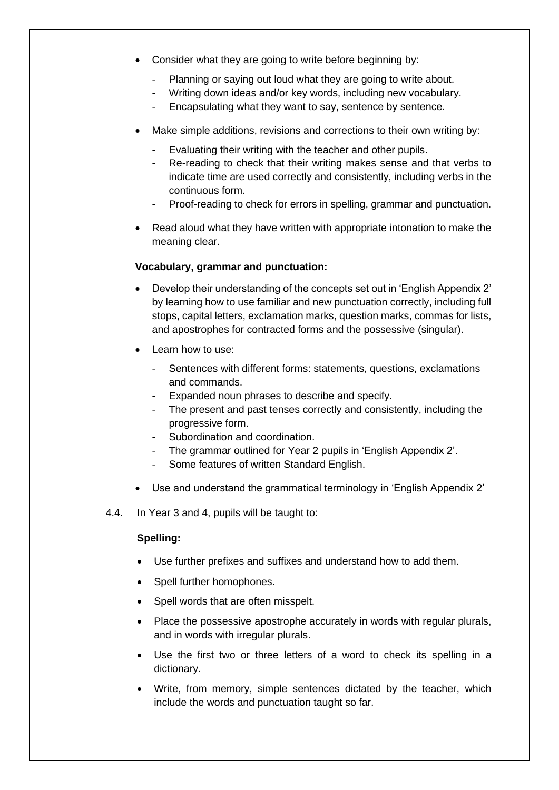- Consider what they are going to write before beginning by:
	- Planning or saying out loud what they are going to write about.
	- Writing down ideas and/or key words, including new vocabulary.
	- Encapsulating what they want to say, sentence by sentence.
- Make simple additions, revisions and corrections to their own writing by:
	- Evaluating their writing with the teacher and other pupils.
	- Re-reading to check that their writing makes sense and that verbs to indicate time are used correctly and consistently, including verbs in the continuous form.
	- Proof-reading to check for errors in spelling, grammar and punctuation.
- Read aloud what they have written with appropriate intonation to make the meaning clear.

#### **Vocabulary, grammar and punctuation:**

- Develop their understanding of the concepts set out in 'English Appendix 2' by learning how to use familiar and new punctuation correctly, including full stops, capital letters, exclamation marks, question marks, commas for lists, and apostrophes for contracted forms and the possessive (singular).
- Learn how to use:
	- Sentences with different forms: statements, questions, exclamations and commands.
	- Expanded noun phrases to describe and specify.
	- The present and past tenses correctly and consistently, including the progressive form.
	- Subordination and coordination.
	- The grammar outlined for Year 2 pupils in 'English Appendix 2'.
	- Some features of written Standard English.
- Use and understand the grammatical terminology in 'English Appendix 2'
- 4.4. In Year 3 and 4, pupils will be taught to:

#### **Spelling:**

- Use further prefixes and suffixes and understand how to add them.
- Spell further homophones.
- Spell words that are often misspelt.
- Place the possessive apostrophe accurately in words with regular plurals, and in words with irregular plurals.
- Use the first two or three letters of a word to check its spelling in a dictionary.
- Write, from memory, simple sentences dictated by the teacher, which include the words and punctuation taught so far.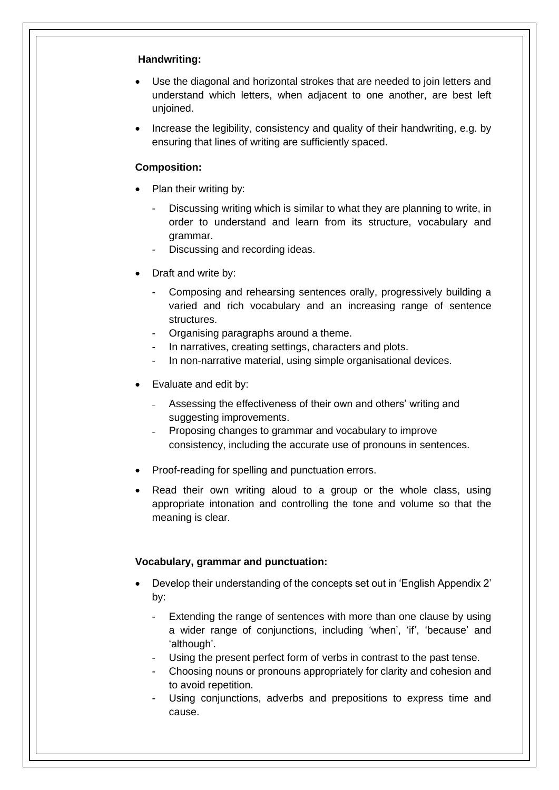#### **Handwriting:**

- Use the diagonal and horizontal strokes that are needed to join letters and understand which letters, when adjacent to one another, are best left unioined.
- Increase the legibility, consistency and quality of their handwriting, e.g. by ensuring that lines of writing are sufficiently spaced.

#### **Composition:**

- Plan their writing by:
	- Discussing writing which is similar to what they are planning to write, in order to understand and learn from its structure, vocabulary and grammar.
	- Discussing and recording ideas.
- Draft and write by:
	- Composing and rehearsing sentences orally, progressively building a varied and rich vocabulary and an increasing range of sentence structures.
	- Organising paragraphs around a theme.
	- In narratives, creating settings, characters and plots.
	- In non-narrative material, using simple organisational devices.
- Evaluate and edit by:
	- Assessing the effectiveness of their own and others' writing and suggesting improvements.
	- Proposing changes to grammar and vocabulary to improve consistency, including the accurate use of pronouns in sentences.
- Proof-reading for spelling and punctuation errors.
- Read their own writing aloud to a group or the whole class, using appropriate intonation and controlling the tone and volume so that the meaning is clear.

#### **Vocabulary, grammar and punctuation:**

- Develop their understanding of the concepts set out in 'English Appendix 2' by:
	- Extending the range of sentences with more than one clause by using a wider range of conjunctions, including 'when', 'if', 'because' and 'although'.
	- Using the present perfect form of verbs in contrast to the past tense.
	- Choosing nouns or pronouns appropriately for clarity and cohesion and to avoid repetition.
	- Using conjunctions, adverbs and prepositions to express time and cause.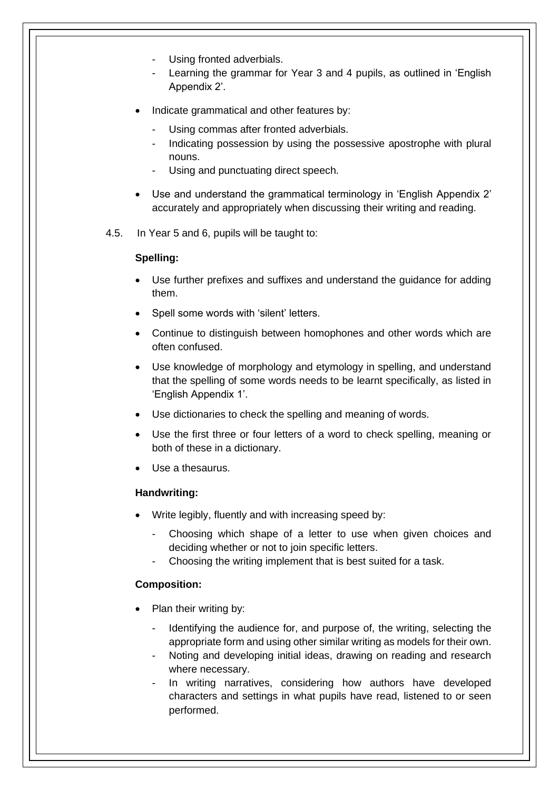- Using fronted adverbials.
- Learning the grammar for Year 3 and 4 pupils, as outlined in 'English Appendix 2'.
- Indicate grammatical and other features by:
	- Using commas after fronted adverbials.
	- Indicating possession by using the possessive apostrophe with plural nouns.
	- Using and punctuating direct speech.
- Use and understand the grammatical terminology in 'English Appendix 2' accurately and appropriately when discussing their writing and reading.
- 4.5. In Year 5 and 6, pupils will be taught to:

#### **Spelling:**

- Use further prefixes and suffixes and understand the guidance for adding them.
- Spell some words with 'silent' letters.
- Continue to distinguish between homophones and other words which are often confused.
- Use knowledge of morphology and etymology in spelling, and understand that the spelling of some words needs to be learnt specifically, as listed in 'English Appendix 1'.
- Use dictionaries to check the spelling and meaning of words.
- Use the first three or four letters of a word to check spelling, meaning or both of these in a dictionary.
- Use a thesaurus.

#### **Handwriting:**

- Write legibly, fluently and with increasing speed by:
	- Choosing which shape of a letter to use when given choices and deciding whether or not to join specific letters.
	- Choosing the writing implement that is best suited for a task.

#### **Composition:**

- Plan their writing by:
	- Identifying the audience for, and purpose of, the writing, selecting the appropriate form and using other similar writing as models for their own.
	- Noting and developing initial ideas, drawing on reading and research where necessary.
	- In writing narratives, considering how authors have developed characters and settings in what pupils have read, listened to or seen performed.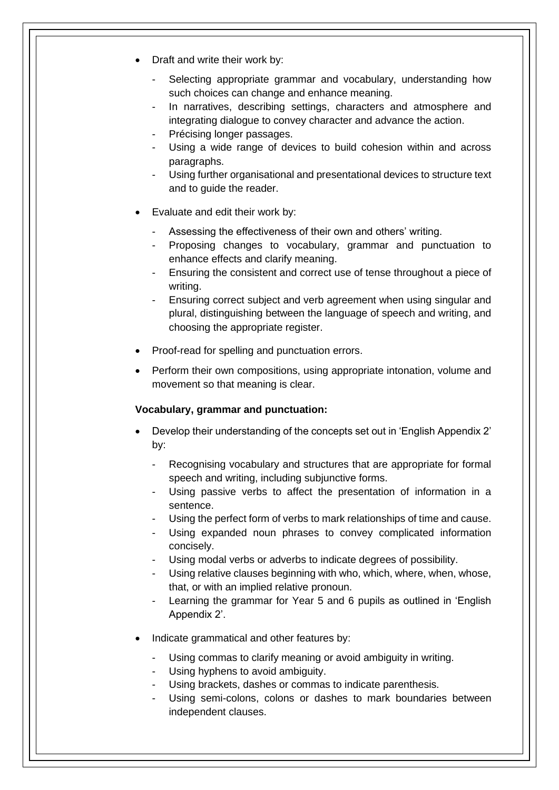- Draft and write their work by:
	- Selecting appropriate grammar and vocabulary, understanding how such choices can change and enhance meaning.
	- In narratives, describing settings, characters and atmosphere and integrating dialogue to convey character and advance the action.
	- Précising longer passages.
	- Using a wide range of devices to build cohesion within and across paragraphs.
	- Using further organisational and presentational devices to structure text and to guide the reader.
- Evaluate and edit their work by:
	- Assessing the effectiveness of their own and others' writing.
	- Proposing changes to vocabulary, grammar and punctuation to enhance effects and clarify meaning.
	- Ensuring the consistent and correct use of tense throughout a piece of writing.
	- Ensuring correct subject and verb agreement when using singular and plural, distinguishing between the language of speech and writing, and choosing the appropriate register.
- Proof-read for spelling and punctuation errors.
- Perform their own compositions, using appropriate intonation, volume and movement so that meaning is clear.

#### **Vocabulary, grammar and punctuation:**

- Develop their understanding of the concepts set out in 'English Appendix 2' by:
	- Recognising vocabulary and structures that are appropriate for formal speech and writing, including subjunctive forms.
	- Using passive verbs to affect the presentation of information in a sentence.
	- Using the perfect form of verbs to mark relationships of time and cause.
	- Using expanded noun phrases to convey complicated information concisely.
	- Using modal verbs or adverbs to indicate degrees of possibility.
	- Using relative clauses beginning with who, which, where, when, whose, that, or with an implied relative pronoun.
	- Learning the grammar for Year 5 and 6 pupils as outlined in 'English Appendix 2'.
- Indicate grammatical and other features by:
	- Using commas to clarify meaning or avoid ambiguity in writing.
	- Using hyphens to avoid ambiguity.
	- Using brackets, dashes or commas to indicate parenthesis.
	- Using semi-colons, colons or dashes to mark boundaries between independent clauses.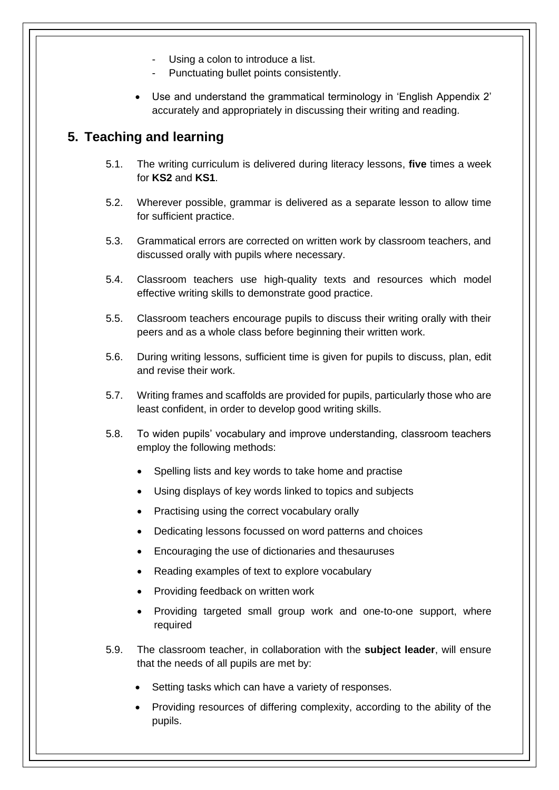- Using a colon to introduce a list.
- Punctuating bullet points consistently.
- Use and understand the grammatical terminology in 'English Appendix 2' accurately and appropriately in discussing their writing and reading.

## <span id="page-12-0"></span>**5. Teaching and learning**

- 5.1. The writing curriculum is delivered during literacy lessons, **five** times a week for **KS2** and **KS1**.
- 5.2. Wherever possible, grammar is delivered as a separate lesson to allow time for sufficient practice.
- 5.3. Grammatical errors are corrected on written work by classroom teachers, and discussed orally with pupils where necessary.
- 5.4. Classroom teachers use high-quality texts and resources which model effective writing skills to demonstrate good practice.
- 5.5. Classroom teachers encourage pupils to discuss their writing orally with their peers and as a whole class before beginning their written work.
- 5.6. During writing lessons, sufficient time is given for pupils to discuss, plan, edit and revise their work.
- 5.7. Writing frames and scaffolds are provided for pupils, particularly those who are least confident, in order to develop good writing skills.
- 5.8. To widen pupils' vocabulary and improve understanding, classroom teachers employ the following methods:
	- Spelling lists and key words to take home and practise
	- Using displays of key words linked to topics and subjects
	- Practising using the correct vocabulary orally
	- Dedicating lessons focussed on word patterns and choices
	- Encouraging the use of dictionaries and thesauruses
	- Reading examples of text to explore vocabulary
	- Providing feedback on written work
	- Providing targeted small group work and one-to-one support, where required
- 5.9. The classroom teacher, in collaboration with the **subject leader**, will ensure that the needs of all pupils are met by:
	- Setting tasks which can have a variety of responses.
	- Providing resources of differing complexity, according to the ability of the pupils.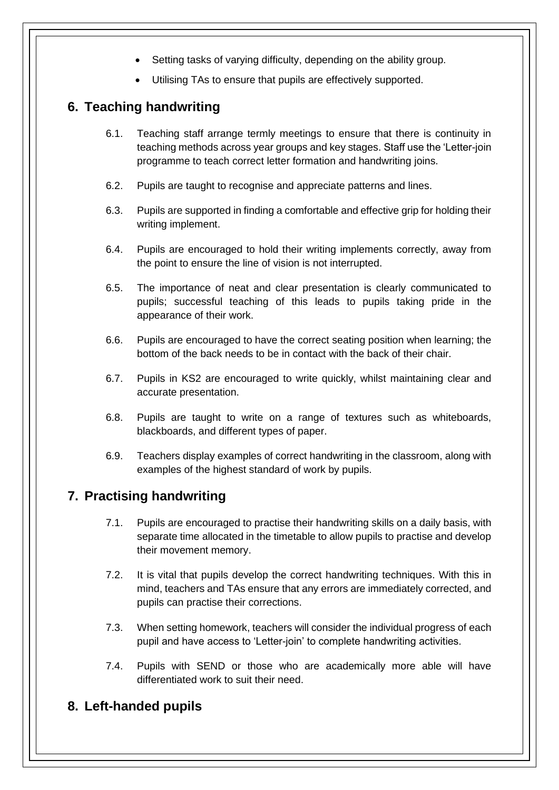- Setting tasks of varying difficulty, depending on the ability group.
- Utilising TAs to ensure that pupils are effectively supported.

## <span id="page-13-0"></span>**6. Teaching handwriting**

- 6.1. Teaching staff arrange termly meetings to ensure that there is continuity in teaching methods across year groups and key stages. Staff use the 'Letter-join programme to teach correct letter formation and handwriting joins.
- 6.2. Pupils are taught to recognise and appreciate patterns and lines.
- 6.3. Pupils are supported in finding a comfortable and effective grip for holding their writing implement.
- 6.4. Pupils are encouraged to hold their writing implements correctly, away from the point to ensure the line of vision is not interrupted.
- 6.5. The importance of neat and clear presentation is clearly communicated to pupils; successful teaching of this leads to pupils taking pride in the appearance of their work.
- 6.6. Pupils are encouraged to have the correct seating position when learning; the bottom of the back needs to be in contact with the back of their chair.
- 6.7. Pupils in KS2 are encouraged to write quickly, whilst maintaining clear and accurate presentation.
- 6.8. Pupils are taught to write on a range of textures such as whiteboards, blackboards, and different types of paper.
- 6.9. Teachers display examples of correct handwriting in the classroom, along with examples of the highest standard of work by pupils.

## <span id="page-13-1"></span>**7. Practising handwriting**

- 7.1. Pupils are encouraged to practise their handwriting skills on a daily basis, with separate time allocated in the timetable to allow pupils to practise and develop their movement memory.
- 7.2. It is vital that pupils develop the correct handwriting techniques. With this in mind, teachers and TAs ensure that any errors are immediately corrected, and pupils can practise their corrections.
- 7.3. When setting homework, teachers will consider the individual progress of each pupil and have access to 'Letter-join' to complete handwriting activities.
- 7.4. Pupils with SEND or those who are academically more able will have differentiated work to suit their need.

## <span id="page-13-2"></span>**8. Left-handed pupils**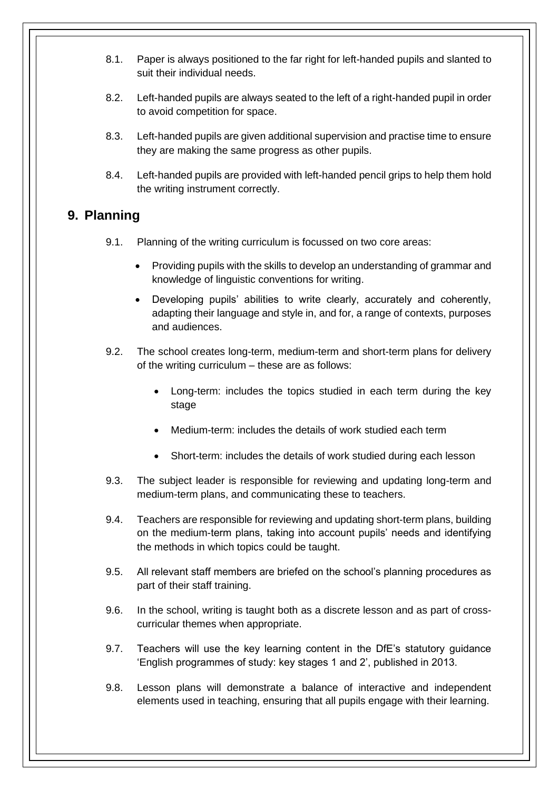- 8.1. Paper is always positioned to the far right for left-handed pupils and slanted to suit their individual needs.
- 8.2. Left-handed pupils are always seated to the left of a right-handed pupil in order to avoid competition for space.
- 8.3. Left-handed pupils are given additional supervision and practise time to ensure they are making the same progress as other pupils.
- 8.4. Left-handed pupils are provided with left-handed pencil grips to help them hold the writing instrument correctly.

## <span id="page-14-0"></span>**9. Planning**

- 9.1. Planning of the writing curriculum is focussed on two core areas:
	- Providing pupils with the skills to develop an understanding of grammar and knowledge of linguistic conventions for writing.
	- Developing pupils' abilities to write clearly, accurately and coherently, adapting their language and style in, and for, a range of contexts, purposes and audiences.
- 9.2. The school creates long-term, medium-term and short-term plans for delivery of the writing curriculum – these are as follows:
	- Long-term: includes the topics studied in each term during the key stage
	- Medium-term: includes the details of work studied each term
	- Short-term: includes the details of work studied during each lesson
- 9.3. The subject leader is responsible for reviewing and updating long-term and medium-term plans, and communicating these to teachers.
- 9.4. Teachers are responsible for reviewing and updating short-term plans, building on the medium-term plans, taking into account pupils' needs and identifying the methods in which topics could be taught.
- 9.5. All relevant staff members are briefed on the school's planning procedures as part of their staff training.
- 9.6. In the school, writing is taught both as a discrete lesson and as part of crosscurricular themes when appropriate.
- 9.7. Teachers will use the key learning content in the DfE's statutory guidance 'English programmes of study: key stages 1 and 2', published in 2013.
- 9.8. Lesson plans will demonstrate a balance of interactive and independent elements used in teaching, ensuring that all pupils engage with their learning.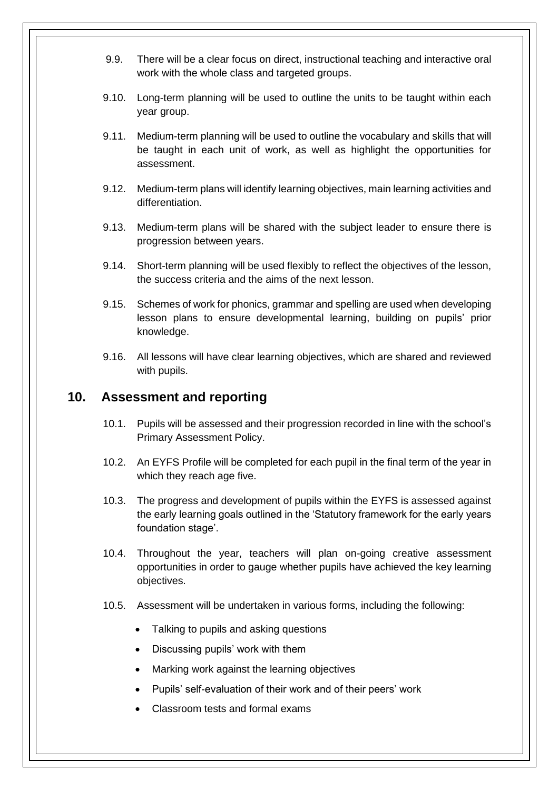- 9.9. There will be a clear focus on direct, instructional teaching and interactive oral work with the whole class and targeted groups.
- 9.10. Long-term planning will be used to outline the units to be taught within each year group.
- 9.11. Medium-term planning will be used to outline the vocabulary and skills that will be taught in each unit of work, as well as highlight the opportunities for assessment.
- 9.12. Medium-term plans will identify learning objectives, main learning activities and differentiation.
- 9.13. Medium-term plans will be shared with the subject leader to ensure there is progression between years.
- 9.14. Short-term planning will be used flexibly to reflect the objectives of the lesson, the success criteria and the aims of the next lesson.
- 9.15. Schemes of work for phonics, grammar and spelling are used when developing lesson plans to ensure developmental learning, building on pupils' prior knowledge.
- 9.16. All lessons will have clear learning objectives, which are shared and reviewed with pupils.

### <span id="page-15-0"></span>**10. Assessment and reporting**

- 10.1. Pupils will be assessed and their progression recorded in line with the school's Primary Assessment Policy.
- 10.2. An EYFS Profile will be completed for each pupil in the final term of the year in which they reach age five.
- 10.3. The progress and development of pupils within the EYFS is assessed against the early learning goals outlined in the 'Statutory framework for the early years foundation stage'.
- 10.4. Throughout the year, teachers will plan on-going creative assessment opportunities in order to gauge whether pupils have achieved the key learning objectives.
- 10.5. Assessment will be undertaken in various forms, including the following:
	- Talking to pupils and asking questions
	- Discussing pupils' work with them
	- Marking work against the learning objectives
	- Pupils' self-evaluation of their work and of their peers' work
	- Classroom tests and formal exams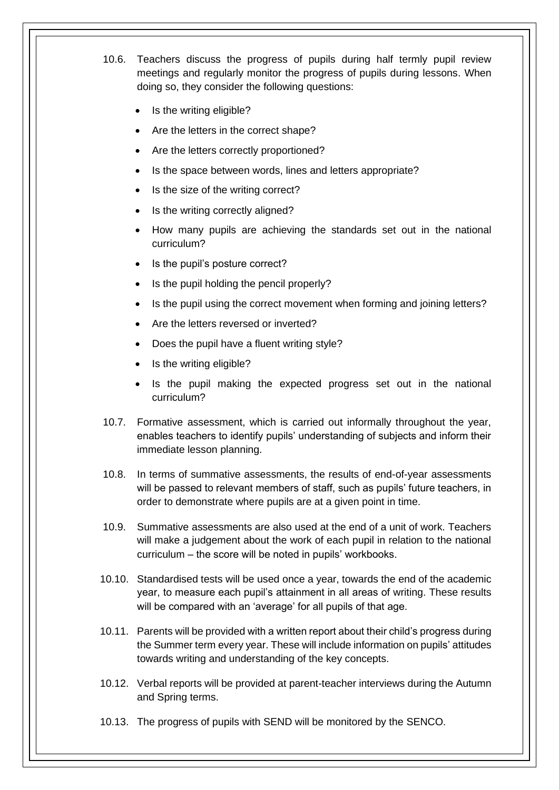10.6. Teachers discuss the progress of pupils during half termly pupil review meetings and regularly monitor the progress of pupils during lessons. When doing so, they consider the following questions:

- Is the writing eligible?
- Are the letters in the correct shape?
- Are the letters correctly proportioned?
- Is the space between words, lines and letters appropriate?
- Is the size of the writing correct?
- Is the writing correctly aligned?
- How many pupils are achieving the standards set out in the national curriculum?
- Is the pupil's posture correct?
- Is the pupil holding the pencil properly?
- Is the pupil using the correct movement when forming and joining letters?
- Are the letters reversed or inverted?
- Does the pupil have a fluent writing style?
- Is the writing eligible?
- Is the pupil making the expected progress set out in the national curriculum?
- 10.7. Formative assessment, which is carried out informally throughout the year, enables teachers to identify pupils' understanding of subjects and inform their immediate lesson planning.
- 10.8. In terms of summative assessments, the results of end-of-year assessments will be passed to relevant members of staff, such as pupils' future teachers, in order to demonstrate where pupils are at a given point in time.
- 10.9. Summative assessments are also used at the end of a unit of work. Teachers will make a judgement about the work of each pupil in relation to the national curriculum – the score will be noted in pupils' workbooks.
- 10.10. Standardised tests will be used once a year, towards the end of the academic year, to measure each pupil's attainment in all areas of writing. These results will be compared with an 'average' for all pupils of that age.
- 10.11. Parents will be provided with a written report about their child's progress during the Summer term every year. These will include information on pupils' attitudes towards writing and understanding of the key concepts.
- 10.12. Verbal reports will be provided at parent-teacher interviews during the Autumn and Spring terms.
- 10.13. The progress of pupils with SEND will be monitored by the SENCO.